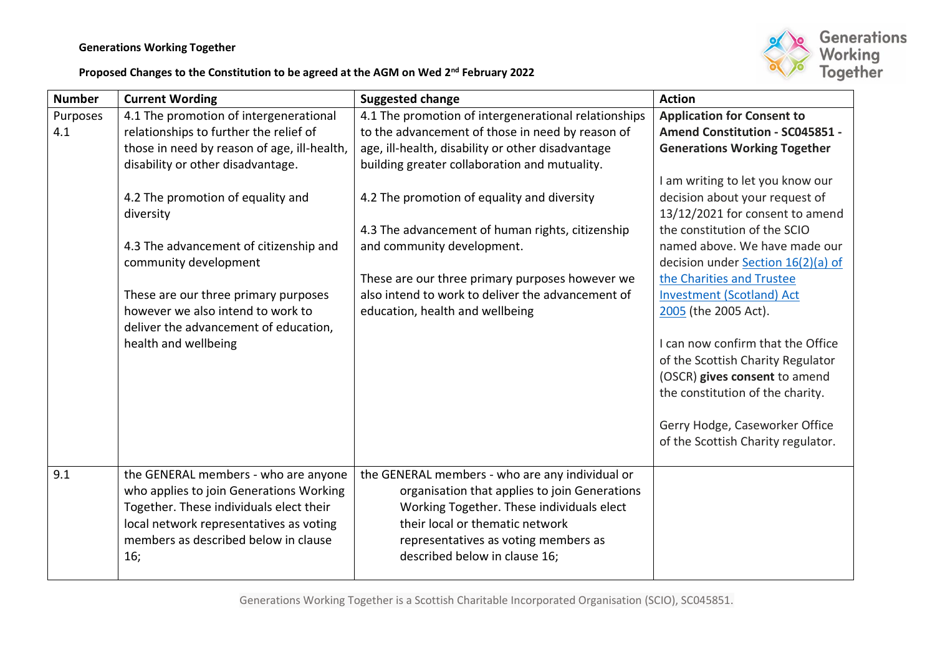## **Generations Working Together**



## **Proposed Changes to the Constitution to be agreed at the AGM on Wed 2nd February 2022**

| <b>Number</b> | <b>Current Wording</b>                      | <b>Suggested change</b>                              | <b>Action</b>                                                      |
|---------------|---------------------------------------------|------------------------------------------------------|--------------------------------------------------------------------|
| Purposes      | 4.1 The promotion of intergenerational      | 4.1 The promotion of intergenerational relationships | <b>Application for Consent to</b>                                  |
| 4.1           | relationships to further the relief of      | to the advancement of those in need by reason of     | Amend Constitution - SC045851 -                                    |
|               | those in need by reason of age, ill-health, | age, ill-health, disability or other disadvantage    | <b>Generations Working Together</b>                                |
|               | disability or other disadvantage.           | building greater collaboration and mutuality.        |                                                                    |
|               | 4.2 The promotion of equality and           | 4.2 The promotion of equality and diversity          | I am writing to let you know our<br>decision about your request of |
|               | diversity                                   |                                                      | 13/12/2021 for consent to amend                                    |
|               |                                             | 4.3 The advancement of human rights, citizenship     | the constitution of the SCIO                                       |
|               | 4.3 The advancement of citizenship and      | and community development.                           | named above. We have made our                                      |
|               | community development                       |                                                      | decision under <b>Section 16(2)(a)</b> of                          |
|               |                                             | These are our three primary purposes however we      | the Charities and Trustee                                          |
|               | These are our three primary purposes        | also intend to work to deliver the advancement of    | <b>Investment (Scotland) Act</b>                                   |
|               | however we also intend to work to           | education, health and wellbeing                      | 2005 (the 2005 Act).                                               |
|               | deliver the advancement of education,       |                                                      |                                                                    |
|               | health and wellbeing                        |                                                      | I can now confirm that the Office                                  |
|               |                                             |                                                      | of the Scottish Charity Regulator                                  |
|               |                                             |                                                      | (OSCR) gives consent to amend                                      |
|               |                                             |                                                      | the constitution of the charity.                                   |
|               |                                             |                                                      |                                                                    |
|               |                                             |                                                      | Gerry Hodge, Caseworker Office                                     |
|               |                                             |                                                      | of the Scottish Charity regulator.                                 |
|               |                                             |                                                      |                                                                    |
| 9.1           | the GENERAL members - who are anyone        | the GENERAL members - who are any individual or      |                                                                    |
|               | who applies to join Generations Working     | organisation that applies to join Generations        |                                                                    |
|               | Together. These individuals elect their     | Working Together. These individuals elect            |                                                                    |
|               | local network representatives as voting     | their local or thematic network                      |                                                                    |
|               | members as described below in clause        | representatives as voting members as                 |                                                                    |
|               | 16;                                         | described below in clause 16;                        |                                                                    |
|               |                                             |                                                      |                                                                    |

Generations Working Together is a Scottish Charitable Incorporated Organisation (SCIO), SC045851.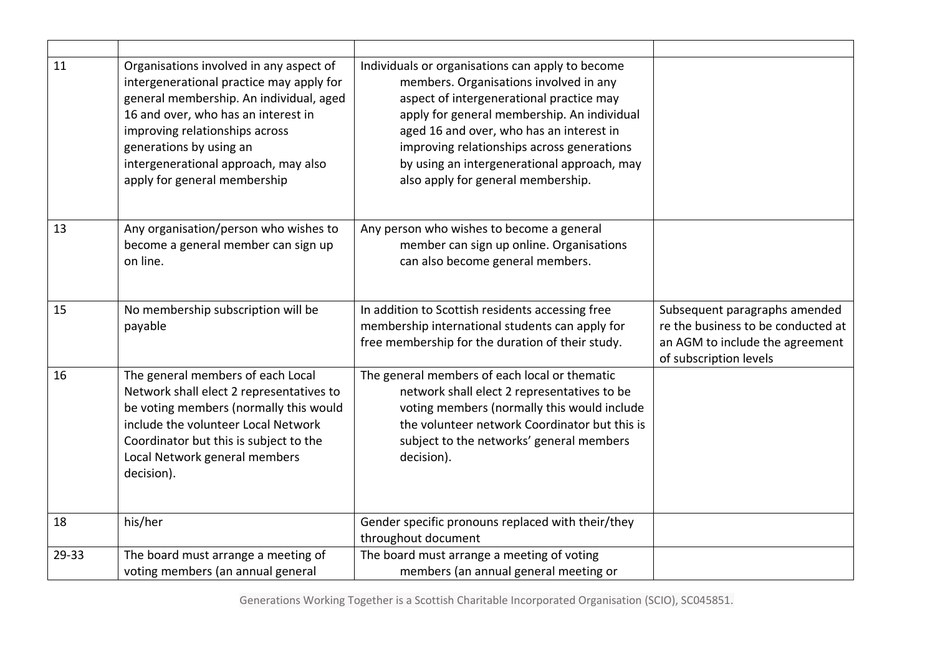| 11    | Organisations involved in any aspect of<br>intergenerational practice may apply for<br>general membership. An individual, aged<br>16 and over, who has an interest in<br>improving relationships across<br>generations by using an<br>intergenerational approach, may also<br>apply for general membership | Individuals or organisations can apply to become<br>members. Organisations involved in any<br>aspect of intergenerational practice may<br>apply for general membership. An individual<br>aged 16 and over, who has an interest in<br>improving relationships across generations<br>by using an intergenerational approach, may<br>also apply for general membership. |                                                                                                                                  |
|-------|------------------------------------------------------------------------------------------------------------------------------------------------------------------------------------------------------------------------------------------------------------------------------------------------------------|----------------------------------------------------------------------------------------------------------------------------------------------------------------------------------------------------------------------------------------------------------------------------------------------------------------------------------------------------------------------|----------------------------------------------------------------------------------------------------------------------------------|
| 13    | Any organisation/person who wishes to<br>become a general member can sign up<br>on line.                                                                                                                                                                                                                   | Any person who wishes to become a general<br>member can sign up online. Organisations<br>can also become general members.                                                                                                                                                                                                                                            |                                                                                                                                  |
| 15    | No membership subscription will be<br>payable                                                                                                                                                                                                                                                              | In addition to Scottish residents accessing free<br>membership international students can apply for<br>free membership for the duration of their study.                                                                                                                                                                                                              | Subsequent paragraphs amended<br>re the business to be conducted at<br>an AGM to include the agreement<br>of subscription levels |
| 16    | The general members of each Local<br>Network shall elect 2 representatives to<br>be voting members (normally this would<br>include the volunteer Local Network<br>Coordinator but this is subject to the<br>Local Network general members<br>decision).                                                    | The general members of each local or thematic<br>network shall elect 2 representatives to be<br>voting members (normally this would include<br>the volunteer network Coordinator but this is<br>subject to the networks' general members<br>decision).                                                                                                               |                                                                                                                                  |
| 18    | his/her                                                                                                                                                                                                                                                                                                    | Gender specific pronouns replaced with their/they<br>throughout document                                                                                                                                                                                                                                                                                             |                                                                                                                                  |
| 29-33 | The board must arrange a meeting of<br>voting members (an annual general                                                                                                                                                                                                                                   | The board must arrange a meeting of voting<br>members (an annual general meeting or                                                                                                                                                                                                                                                                                  |                                                                                                                                  |

Generations Working Together is a Scottish Charitable Incorporated Organisation (SCIO), SC045851.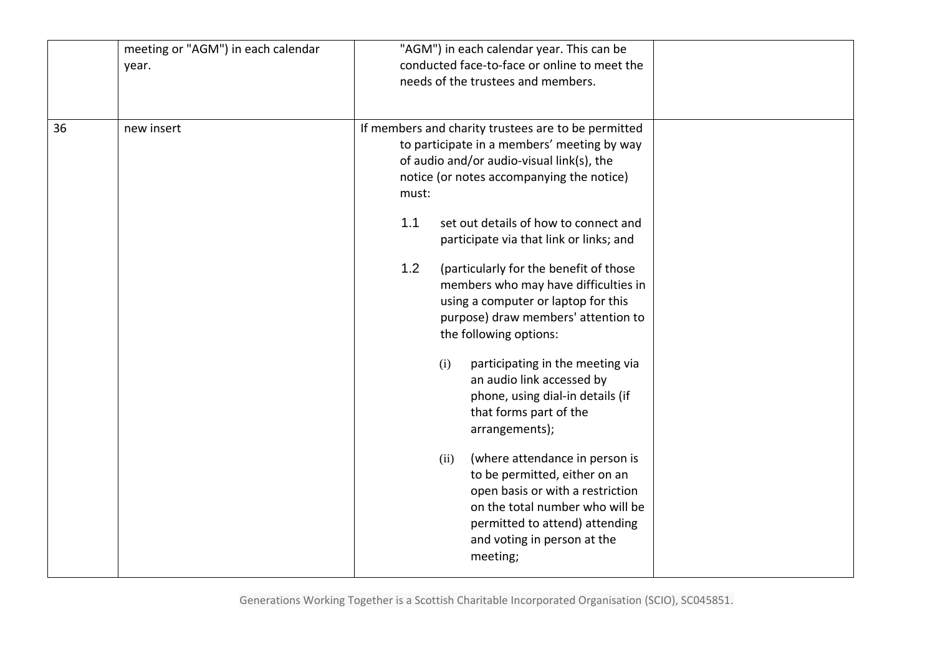|    | meeting or "AGM") in each calendar<br>year. |       | "AGM") in each calendar year. This can be<br>conducted face-to-face or online to meet the<br>needs of the trustees and members.                                                                                             |
|----|---------------------------------------------|-------|-----------------------------------------------------------------------------------------------------------------------------------------------------------------------------------------------------------------------------|
| 36 | new insert                                  | must: | If members and charity trustees are to be permitted<br>to participate in a members' meeting by way<br>of audio and/or audio-visual link(s), the<br>notice (or notes accompanying the notice)                                |
|    |                                             | 1.1   | set out details of how to connect and<br>participate via that link or links; and                                                                                                                                            |
|    |                                             | 1.2   | (particularly for the benefit of those<br>members who may have difficulties in<br>using a computer or laptop for this<br>purpose) draw members' attention to<br>the following options:                                      |
|    |                                             |       | (i)<br>participating in the meeting via<br>an audio link accessed by<br>phone, using dial-in details (if<br>that forms part of the<br>arrangements);                                                                        |
|    |                                             |       | (where attendance in person is<br>(ii)<br>to be permitted, either on an<br>open basis or with a restriction<br>on the total number who will be<br>permitted to attend) attending<br>and voting in person at the<br>meeting; |

Generations Working Together is a Scottish Charitable Incorporated Organisation (SCIO), SC045851.